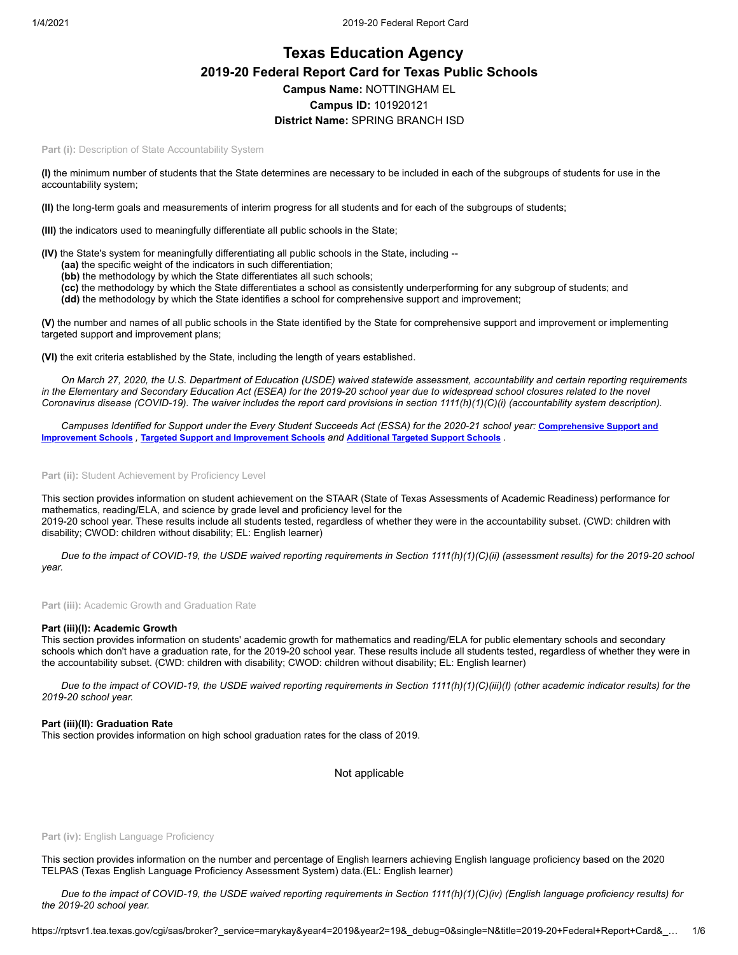# **Texas Education Agency 2019-20 Federal Report Card for Texas Public Schools Campus Name:** NOTTINGHAM EL **Campus ID:** 101920121 **District Name:** SPRING BRANCH ISD

Part (i): Description of State Accountability System

**(I)** the minimum number of students that the State determines are necessary to be included in each of the subgroups of students for use in the accountability system;

**(II)** the long-term goals and measurements of interim progress for all students and for each of the subgroups of students;

**(III)** the indicators used to meaningfully differentiate all public schools in the State;

**(IV)** the State's system for meaningfully differentiating all public schools in the State, including --

- **(aa)** the specific weight of the indicators in such differentiation;
- **(bb)** the methodology by which the State differentiates all such schools;
- **(cc)** the methodology by which the State differentiates a school as consistently underperforming for any subgroup of students; and

**(dd)** the methodology by which the State identifies a school for comprehensive support and improvement;

**(V)** the number and names of all public schools in the State identified by the State for comprehensive support and improvement or implementing targeted support and improvement plans;

**(VI)** the exit criteria established by the State, including the length of years established.

*On March 27, 2020, the U.S. Department of Education (USDE) waived statewide assessment, accountability and certain reporting requirements in the Elementary and Secondary Education Act (ESEA) for the 2019-20 school year due to widespread school closures related to the novel Coronavirus disease (COVID-19). The waiver includes the report card provisions in section 1111(h)(1)(C)(i) (accountability system description).*

*[Campuses Identified for Support under the Every Student Succeeds Act \(ESSA\) for the 2020-21 school year:](https://tea.texas.gov/sites/default/files/comprehensive_support_2020.xlsx)* **Comprehensive Support and Improvement Schools** *,* **Targeted Support and [Improvement](https://tea.texas.gov/sites/default/files/targeted_support_2020.xlsx) Schools** *and* **[Additional](https://tea.texas.gov/sites/default/files/additional_targeted_support_2020.xlsx) Targeted Support Schools** *.*

Part (ii): Student Achievement by Proficiency Level

This section provides information on student achievement on the STAAR (State of Texas Assessments of Academic Readiness) performance for mathematics, reading/ELA, and science by grade level and proficiency level for the 2019-20 school year. These results include all students tested, regardless of whether they were in the accountability subset. (CWD: children with disability; CWOD: children without disability; EL: English learner)

*Due to the impact of COVID-19, the USDE waived reporting requirements in Section 1111(h)(1)(C)(ii) (assessment results) for the 2019-20 school year.*

**Part (iii):** Academic Growth and Graduation Rate

#### **Part (iii)(I): Academic Growth**

This section provides information on students' academic growth for mathematics and reading/ELA for public elementary schools and secondary schools which don't have a graduation rate, for the 2019-20 school year. These results include all students tested, regardless of whether they were in the accountability subset. (CWD: children with disability; CWOD: children without disability; EL: English learner)

*Due to the impact of COVID-19, the USDE waived reporting requirements in Section 1111(h)(1)(C)(iii)(I) (other academic indicator results) for the 2019-20 school year.*

#### **Part (iii)(II): Graduation Rate**

This section provides information on high school graduation rates for the class of 2019.

Not applicable

#### Part (iv): English Language Proficiency

This section provides information on the number and percentage of English learners achieving English language proficiency based on the 2020 TELPAS (Texas English Language Proficiency Assessment System) data.(EL: English learner)

*Due to the impact of COVID-19, the USDE waived reporting requirements in Section 1111(h)(1)(C)(iv) (English language proficiency results) for the 2019-20 school year.*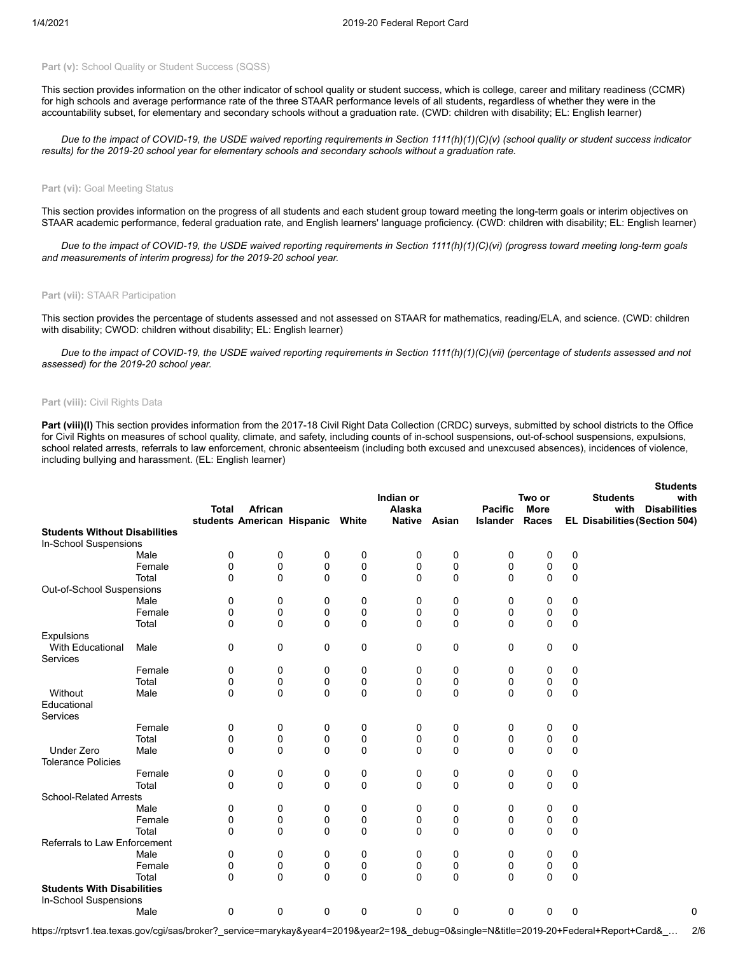## Part (v): School Quality or Student Success (SQSS)

This section provides information on the other indicator of school quality or student success, which is college, career and military readiness (CCMR) for high schools and average performance rate of the three STAAR performance levels of all students, regardless of whether they were in the accountability subset, for elementary and secondary schools without a graduation rate. (CWD: children with disability; EL: English learner)

*Due to the impact of COVID-19, the USDE waived reporting requirements in Section 1111(h)(1)(C)(v) (school quality or student success indicator results) for the 2019-20 school year for elementary schools and secondary schools without a graduation rate.*

#### Part (vi): Goal Meeting Status

This section provides information on the progress of all students and each student group toward meeting the long-term goals or interim objectives on STAAR academic performance, federal graduation rate, and English learners' language proficiency. (CWD: children with disability; EL: English learner)

*Due to the impact of COVID-19, the USDE waived reporting requirements in Section 1111(h)(1)(C)(vi) (progress toward meeting long-term goals and measurements of interim progress) for the 2019-20 school year.*

#### **Part (vii):** STAAR Participation

This section provides the percentage of students assessed and not assessed on STAAR for mathematics, reading/ELA, and science. (CWD: children with disability; CWOD: children without disability; EL: English learner)

*Due to the impact of COVID-19, the USDE waived reporting requirements in Section 1111(h)(1)(C)(vii) (percentage of students assessed and not assessed) for the 2019-20 school year.*

## **Part (viii):** Civil Rights Data

Part (viii)(I) This section provides information from the 2017-18 Civil Right Data Collection (CRDC) surveys, submitted by school districts to the Office for Civil Rights on measures of school quality, climate, and safety, including counts of in-school suspensions, out-of-school suspensions, expulsions, school related arrests, referrals to law enforcement, chronic absenteeism (including both excused and unexcused absences), incidences of violence, including bullying and harassment. (EL: English learner)

|                                      |        |              |                            |             |              | Indian or     |             |                 | Two or       |             | <b>Students</b><br><b>Students</b><br>with |
|--------------------------------------|--------|--------------|----------------------------|-------------|--------------|---------------|-------------|-----------------|--------------|-------------|--------------------------------------------|
|                                      |        | <b>Total</b> | African                    |             |              | Alaska        |             | <b>Pacific</b>  | <b>More</b>  |             | <b>Disabilities</b><br>with                |
|                                      |        |              | students American Hispanic |             | White        | <b>Native</b> | Asian       | <b>Islander</b> | Races        |             | EL Disabilities (Section 504)              |
| <b>Students Without Disabilities</b> |        |              |                            |             |              |               |             |                 |              |             |                                            |
| In-School Suspensions                |        |              |                            |             |              |               |             |                 |              |             |                                            |
|                                      | Male   | 0            | 0                          | 0           | 0            | 0             | 0           | 0               | 0            | 0           |                                            |
|                                      | Female | 0            | 0                          | 0           | 0            | 0             | 0           | 0               | 0            | 0           |                                            |
|                                      | Total  | $\Omega$     | $\mathbf 0$                | $\mathbf 0$ | $\Omega$     | 0             | $\mathbf 0$ | $\Omega$        | $\mathbf{0}$ | 0           |                                            |
| Out-of-School Suspensions            |        |              |                            |             |              |               |             |                 |              |             |                                            |
|                                      | Male   | 0            | 0                          | 0           | 0            | 0             | 0           | 0               | 0            | 0           |                                            |
|                                      | Female | 0            | 0                          | 0           | 0            | 0             | 0           | 0               | 0            | 0           |                                            |
|                                      | Total  | 0            | $\mathbf 0$                | $\mathbf 0$ | $\mathbf 0$  | $\Omega$      | $\mathbf 0$ | $\Omega$        | $\mathbf{0}$ | $\mathbf 0$ |                                            |
| <b>Expulsions</b>                    |        |              |                            |             |              |               |             |                 |              |             |                                            |
| With Educational<br>Services         | Male   | 0            | 0                          | 0           | 0            | 0             | 0           | 0               | 0            | 0           |                                            |
|                                      | Female | 0            | 0                          | 0           | 0            | 0             | 0           | 0               | 0            | 0           |                                            |
|                                      | Total  | 0            | 0                          | 0           | 0            | 0             | 0           | 0               | 0            | 0           |                                            |
| Without<br>Educational<br>Services   | Male   | 0            | $\mathbf 0$                | $\mathbf 0$ | $\mathbf{0}$ | $\Omega$      | $\mathbf 0$ | $\Omega$        | $\Omega$     | $\mathbf 0$ |                                            |
|                                      | Female | 0            | 0                          | 0           | 0            | 0             | 0           | 0               | 0            | 0           |                                            |
|                                      | Total  | 0            | 0                          | 0           | $\mathbf 0$  | 0             | 0           | 0               | 0            | 0           |                                            |
| <b>Under Zero</b>                    | Male   | 0            | $\mathbf 0$                | 0           | $\mathbf 0$  | 0             | $\mathbf 0$ | 0               | $\mathbf 0$  | $\mathbf 0$ |                                            |
| <b>Tolerance Policies</b>            |        |              |                            |             |              |               |             |                 |              |             |                                            |
|                                      | Female | 0            | 0                          | 0           | 0            | 0             | 0           | 0               | 0            | 0           |                                            |
|                                      | Total  | 0            | $\mathbf 0$                | 0           | $\mathbf 0$  | 0             | 0           | 0               | $\mathbf 0$  | 0           |                                            |
| <b>School-Related Arrests</b>        |        |              |                            |             |              |               |             |                 |              |             |                                            |
|                                      | Male   | 0            | 0                          | 0           | 0            | 0             | 0           | 0               | 0            | 0           |                                            |
|                                      | Female | 0            | 0                          | 0           | 0            | 0             | 0           | 0               | 0            | 0           |                                            |
|                                      | Total  | 0            | 0                          | 0           | $\mathbf 0$  | 0             | $\mathbf 0$ | $\mathbf{0}$    | $\mathbf 0$  | 0           |                                            |
| Referrals to Law Enforcement         |        |              |                            |             |              |               |             |                 |              |             |                                            |
|                                      | Male   | 0            | 0                          | 0           | 0            | 0             | 0           | 0               | 0            | 0           |                                            |
|                                      | Female | 0            | 0                          | 0           | 0            | 0             | 0           | 0               | 0            | 0           |                                            |
|                                      | Total  | 0            | $\mathbf 0$                | $\mathbf 0$ | $\mathbf 0$  | $\Omega$      | $\mathbf 0$ | 0               | $\mathbf 0$  | $\mathbf 0$ |                                            |
| <b>Students With Disabilities</b>    |        |              |                            |             |              |               |             |                 |              |             |                                            |
| In-School Suspensions                |        |              |                            |             |              |               |             |                 |              |             |                                            |
|                                      | Male   | 0            | 0                          | 0           | 0            | 0             | 0           | 0               | 0            | 0           | 0                                          |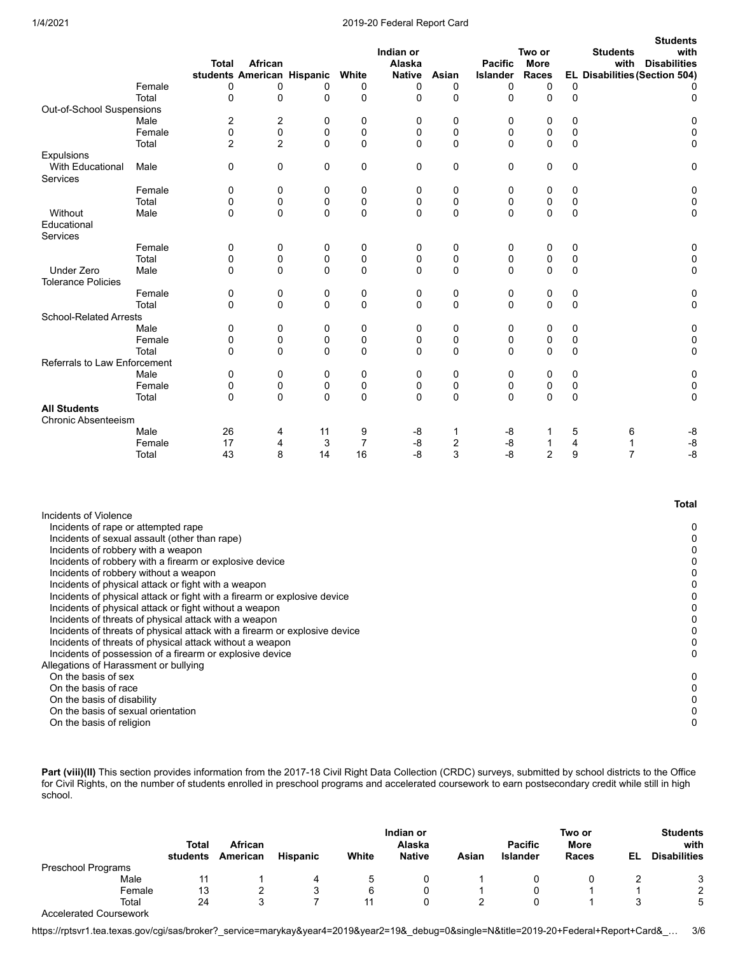## 1/4/2021 2019-20 Federal Report Card

|                               |        | Total          | African                    |          |                | Indian or<br>Alaska |             | <b>Pacific</b>  | Two or<br><b>More</b> |             | <b>Students</b><br><b>Students</b><br>with<br><b>Disabilities</b><br>with |
|-------------------------------|--------|----------------|----------------------------|----------|----------------|---------------------|-------------|-----------------|-----------------------|-------------|---------------------------------------------------------------------------|
|                               |        |                | students American Hispanic |          | White          | <b>Native</b>       | Asian       | <b>Islander</b> | <b>Races</b>          |             | EL Disabilities (Section 504)                                             |
|                               | Female | 0              | 0                          | 0        | 0              | 0                   | 0           | 0               | 0                     | 0           |                                                                           |
|                               | Total  | $\Omega$       | 0                          | $\Omega$ | $\Omega$       | $\Omega$            | $\Omega$    | $\Omega$        | $\Omega$              | $\Omega$    | 0                                                                         |
| Out-of-School Suspensions     |        |                |                            |          |                |                     |             |                 |                       |             |                                                                           |
|                               | Male   | 2              | 2                          | $\Omega$ | 0              | 0                   | $\Omega$    | 0               | 0                     | 0           | 0                                                                         |
|                               | Female | $\mathbf 0$    | $\mathbf 0$                | 0        | 0              | $\Omega$            | $\mathbf 0$ | 0               | $\mathbf 0$           | $\mathbf 0$ |                                                                           |
|                               | Total  | $\overline{2}$ | $\overline{2}$             | $\Omega$ | $\Omega$       | $\Omega$            | $\Omega$    | $\Omega$        | $\Omega$              | $\Omega$    | 0                                                                         |
| Expulsions                    |        |                |                            |          |                |                     |             |                 |                       |             |                                                                           |
| <b>With Educational</b>       | Male   | 0              | 0                          | 0        | 0              | 0                   | $\mathbf 0$ | 0               | $\mathbf 0$           | $\mathbf 0$ | 0                                                                         |
| Services                      |        |                |                            |          |                |                     |             |                 |                       |             |                                                                           |
|                               | Female | 0              | 0                          | 0        | 0              | 0                   | 0           | 0               | 0                     | 0           | 0                                                                         |
|                               | Total  | 0              | 0                          | 0        | 0              | $\Omega$            | 0           | 0               | 0                     | 0           | 0                                                                         |
| Without                       | Male   | 0              | $\Omega$                   | $\Omega$ | $\Omega$       | $\Omega$            | $\Omega$    | $\Omega$        | $\Omega$              | $\mathbf 0$ | 0                                                                         |
| Educational                   |        |                |                            |          |                |                     |             |                 |                       |             |                                                                           |
| Services                      |        |                |                            |          |                |                     |             |                 |                       |             |                                                                           |
|                               | Female | 0              | 0                          | 0        | 0              | 0                   | 0           | 0               | 0                     | 0           | 0                                                                         |
|                               | Total  | 0              | 0                          | 0        | 0              | 0                   | 0           | 0               | 0                     | 0           |                                                                           |
| <b>Under Zero</b>             | Male   | 0              | 0                          | 0        | $\mathbf 0$    | $\Omega$            | $\Omega$    | $\Omega$        | $\Omega$              | $\mathbf 0$ | $\Omega$                                                                  |
| <b>Tolerance Policies</b>     |        |                |                            |          |                |                     |             |                 |                       |             |                                                                           |
|                               | Female | 0              | 0                          | 0        | 0              | 0                   | 0           | 0               | 0                     | 0           | 0                                                                         |
|                               | Total  | 0              | 0                          | 0        | 0              | $\Omega$            | $\mathbf 0$ | 0               | $\mathbf 0$           | $\mathbf 0$ | $\Omega$                                                                  |
| <b>School-Related Arrests</b> |        |                |                            |          |                |                     |             |                 |                       |             |                                                                           |
|                               | Male   | 0              | 0                          | 0        | 0              | 0                   | $\mathbf 0$ | 0               | 0                     | 0           | 0                                                                         |
|                               | Female | 0              | 0                          | 0        | 0              | $\Omega$            | $\mathbf 0$ | 0               | 0                     | 0           | 0                                                                         |
|                               | Total  | 0              | $\Omega$                   | $\Omega$ | $\Omega$       | 0                   | $\Omega$    | $\Omega$        | $\Omega$              | $\Omega$    | $\Omega$                                                                  |
| Referrals to Law Enforcement  |        |                |                            |          |                |                     |             |                 |                       |             |                                                                           |
|                               | Male   | 0              | 0                          | 0        | 0              | 0                   | 0           | 0               | 0                     | 0           | 0                                                                         |
|                               | Female | 0              | 0                          | 0        | 0              | 0                   | 0           | 0               | 0                     | 0           | 0                                                                         |
|                               | Total  | 0              | $\Omega$                   | $\Omega$ | $\Omega$       | $\Omega$            | $\Omega$    | $\Omega$        | $\Omega$              | $\mathbf 0$ | 0                                                                         |
| <b>All Students</b>           |        |                |                            |          |                |                     |             |                 |                       |             |                                                                           |
| <b>Chronic Absenteeism</b>    |        |                |                            |          |                |                     |             |                 |                       |             |                                                                           |
|                               | Male   | 26             | 4                          | 11       | 9              | -8                  | 1           | -8              |                       | 5           | -8<br>6                                                                   |
|                               | Female | 17             | 4                          | 3        | $\overline{7}$ | -8                  | 2<br>3      | -8              |                       | 4           | $-8$<br>1<br>$\overline{7}$                                               |
|                               | Total  | 43             | 8                          | 14       | 16             | $-8$                |             | $-8$            | 2                     | 9           | -8                                                                        |

|                                                                            | Total |
|----------------------------------------------------------------------------|-------|
| Incidents of Violence                                                      |       |
| Incidents of rape or attempted rape                                        | 0     |
| Incidents of sexual assault (other than rape)                              |       |
| Incidents of robbery with a weapon                                         |       |
| Incidents of robbery with a firearm or explosive device                    |       |
| Incidents of robbery without a weapon                                      |       |
| Incidents of physical attack or fight with a weapon                        |       |
| Incidents of physical attack or fight with a firearm or explosive device   |       |
| Incidents of physical attack or fight without a weapon                     |       |
| Incidents of threats of physical attack with a weapon                      |       |
| Incidents of threats of physical attack with a firearm or explosive device |       |
| Incidents of threats of physical attack without a weapon                   |       |
| Incidents of possession of a firearm or explosive device                   | 0     |
| Allegations of Harassment or bullying                                      |       |
| On the basis of sex                                                        | 0     |
| On the basis of race                                                       |       |
| On the basis of disability                                                 |       |
| On the basis of sexual orientation                                         |       |
| On the basis of religion                                                   |       |
|                                                                            |       |

Part (viii)(II) This section provides information from the 2017-18 Civil Right Data Collection (CRDC) surveys, submitted by school districts to the Office for Civil Rights, on the number of students enrolled in preschool programs and accelerated coursework to earn postsecondary credit while still in high school.

|                               | <b>Total</b><br>students | African<br>American | <b>Hispanic</b> | White       | Indian or<br>Alaska<br><b>Native</b> | Asian | <b>Pacific</b><br><b>Islander</b> | Two or<br>More<br>Races | EL. | <b>Students</b><br>with<br><b>Disabilities</b> |
|-------------------------------|--------------------------|---------------------|-----------------|-------------|--------------------------------------|-------|-----------------------------------|-------------------------|-----|------------------------------------------------|
| Preschool Programs            |                          |                     |                 |             |                                      |       |                                   |                         |     |                                                |
| Male                          | 11                       |                     | 4               | $\mathbf b$ |                                      |       |                                   |                         |     | 3                                              |
| Female                        | 13                       |                     | ບ               | 6           |                                      |       |                                   |                         |     | $\mathbf{2}$                                   |
| Total                         | 24                       |                     |                 |             |                                      | ∠     |                                   |                         |     | 5                                              |
| <b>Accelerated Coursework</b> |                          |                     |                 |             |                                      |       |                                   |                         |     |                                                |

https://rptsvr1.tea.texas.gov/cgi/sas/broker?\_service=marykay&year4=2019&year2=19&\_debug=0&single=N&title=2019-20+Federal+Report+Card&\_… 3/6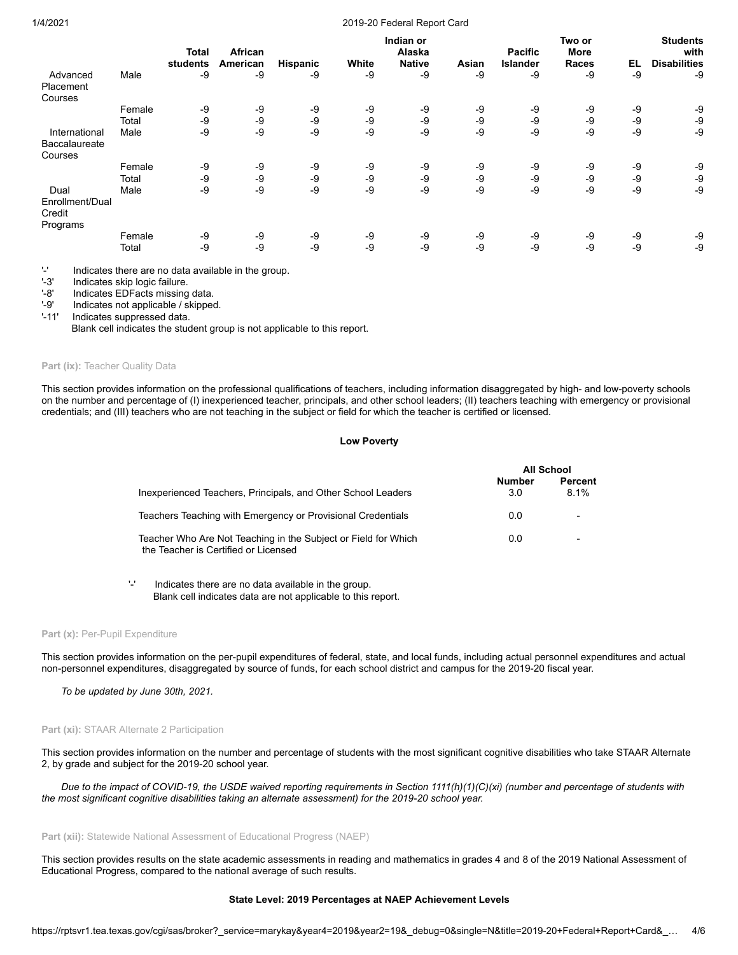## 1/4/2021 2019-20 Federal Report Card

|                           |        | Total    | <b>African</b> |          |       | Indian or<br>Alaska |       | <b>Pacific</b>  | Two or<br><b>More</b> |    | <b>Students</b><br>with |
|---------------------------|--------|----------|----------------|----------|-------|---------------------|-------|-----------------|-----------------------|----|-------------------------|
|                           |        | students | American       | Hispanic | White | <b>Native</b>       | Asian | <b>Islander</b> | <b>Races</b>          | EL | <b>Disabilities</b>     |
| Advanced                  | Male   | $-9$     | -9             | -9       | -9    | -9                  | -9    | -9              | -9                    | -9 | -9                      |
| Placement                 |        |          |                |          |       |                     |       |                 |                       |    |                         |
| Courses                   |        |          |                |          |       |                     |       |                 |                       |    |                         |
|                           | Female | -9       | -9             | -9       | -9    | -9                  | -9    | -9              | -9                    | -9 | -9                      |
|                           | Total  | -9       | -9             | -9       | -9    | -9                  | -9    | -9              | -9                    | -9 | -9                      |
| International             | Male   | $-9$     | -9             | -9       | -9    | -9                  | $-9$  | -9              | -9                    | -9 | -9                      |
| <b>Baccalaureate</b>      |        |          |                |          |       |                     |       |                 |                       |    |                         |
| Courses                   |        |          |                |          |       |                     |       |                 |                       |    |                         |
|                           | Female | -9       | -9             | -9       | -9    | -9                  | -9    | -9              | -9                    | -9 | -9                      |
|                           | Total  | -9       | -9             | -9       | -9    | -9                  | -9    | -9              | -9                    | -9 | -9                      |
| Dual                      | Male   | $-9$     | -9             | -9       | -9    | -9                  | $-9$  | -9              | -9                    | -9 | -9                      |
| Enrollment/Dual<br>Credit |        |          |                |          |       |                     |       |                 |                       |    |                         |
| Programs                  |        |          |                |          |       |                     |       |                 |                       |    |                         |
|                           | Female | -9       | -9             | -9       | -9    | -9                  | -9    | -9              | -9                    | -9 | -9                      |
|                           | Total  | -9       | -9             | -9       | -9    | -9                  | -9    | -9              | -9                    | -9 | -9                      |

 $-$  Indicates there are no data available in the group.<br> $-$ 3' Indicates skip logic failure

'-3' Indicates skip logic failure.<br>'-8' Indicates EDFacts missing

Indicates EDFacts missing data.

'-9' Indicates not applicable / skipped.<br>'-11' Indicates suppressed data.

Indicates suppressed data.

Blank cell indicates the student group is not applicable to this report.

## Part (ix): Teacher Quality Data

This section provides information on the professional qualifications of teachers, including information disaggregated by high- and low-poverty schools on the number and percentage of (I) inexperienced teacher, principals, and other school leaders; (II) teachers teaching with emergency or provisional credentials; and (III) teachers who are not teaching in the subject or field for which the teacher is certified or licensed.

# **Low Poverty**

|                                                                                                        |               | All School      |
|--------------------------------------------------------------------------------------------------------|---------------|-----------------|
| Inexperienced Teachers, Principals, and Other School Leaders                                           | Number<br>3.0 | Percent<br>8.1% |
| Teachers Teaching with Emergency or Provisional Credentials                                            | 0.0           |                 |
| Teacher Who Are Not Teaching in the Subject or Field for Which<br>the Teacher is Certified or Licensed | 0.0           |                 |

'-' Indicates there are no data available in the group. Blank cell indicates data are not applicable to this report.

#### Part (x): Per-Pupil Expenditure

This section provides information on the per-pupil expenditures of federal, state, and local funds, including actual personnel expenditures and actual non-personnel expenditures, disaggregated by source of funds, for each school district and campus for the 2019-20 fiscal year.

*To be updated by June 30th, 2021.*

## **Part (xi):** STAAR Alternate 2 Participation

This section provides information on the number and percentage of students with the most significant cognitive disabilities who take STAAR Alternate 2, by grade and subject for the 2019-20 school year.

*Due to the impact of COVID-19, the USDE waived reporting requirements in Section 1111(h)(1)(C)(xi) (number and percentage of students with the most significant cognitive disabilities taking an alternate assessment) for the 2019-20 school year.*

## Part (xii): Statewide National Assessment of Educational Progress (NAEP)

This section provides results on the state academic assessments in reading and mathematics in grades 4 and 8 of the 2019 National Assessment of Educational Progress, compared to the national average of such results.

#### **State Level: 2019 Percentages at NAEP Achievement Levels**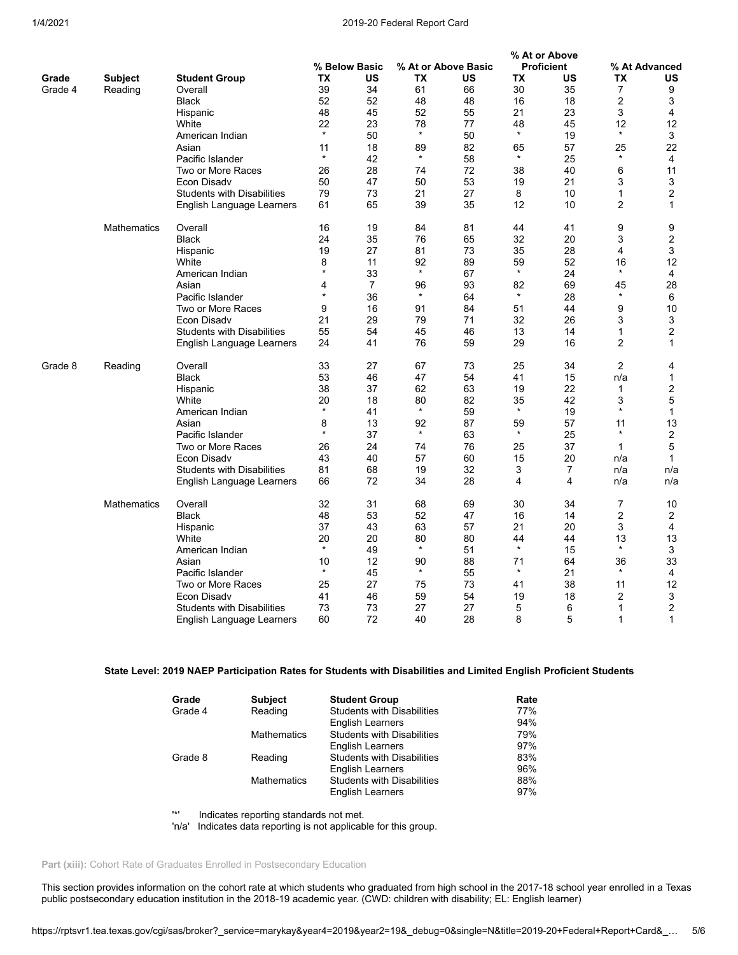## 1/4/2021 2019-20 Federal Report Card

|         |                    |                                   |         |                |         |                     |                         | % At or Above           |                |                |
|---------|--------------------|-----------------------------------|---------|----------------|---------|---------------------|-------------------------|-------------------------|----------------|----------------|
|         |                    |                                   |         | % Below Basic  |         | % At or Above Basic |                         | <b>Proficient</b>       |                | % At Advanced  |
| Grade   | <b>Subject</b>     | <b>Student Group</b>              | ТX      | US             | TX      | US                  | TX                      | US                      | TX             | US             |
| Grade 4 | Reading            | Overall                           | 39      | 34             | 61      | 66                  | 30                      | 35                      | 7              | 9              |
|         |                    | <b>Black</b>                      | 52      | 52             | 48      | 48                  | 16                      | 18                      | 2              | 3              |
|         |                    | Hispanic                          | 48      | 45             | 52      | 55                  | 21                      | 23                      | 3              | 4              |
|         |                    | White                             | 22      | 23             | 78      | 77                  | 48                      | 45                      | 12             | 12             |
|         |                    | American Indian                   | $\star$ | 50             | $\star$ | 50                  | $\star$                 | 19                      | $\star$        | 3              |
|         |                    | Asian                             | 11      | 18             | 89      | 82                  | 65                      | 57                      | 25             | 22             |
|         |                    | Pacific Islander                  | *       | 42             | $\star$ | 58                  | $\star$                 | 25                      | $\star$        | $\overline{4}$ |
|         |                    | Two or More Races                 | 26      | 28             | 74      | 72                  | 38                      | 40                      | 6              | 11             |
|         |                    | Econ Disady                       | 50      | 47             | 50      | 53                  | 19                      | 21                      | 3              | 3              |
|         |                    | <b>Students with Disabilities</b> | 79      | 73             | 21      | 27                  | 8                       | 10                      | 1              | $\overline{2}$ |
|         |                    | English Language Learners         | 61      | 65             | 39      | 35                  | 12                      | 10                      | $\overline{2}$ | $\mathbf{1}$   |
|         | <b>Mathematics</b> | Overall                           | 16      | 19             | 84      | 81                  | 44                      | 41                      | 9              | 9              |
|         |                    | Black                             | 24      | 35             | 76      | 65                  | 32                      | 20                      | 3              | $\overline{2}$ |
|         |                    | Hispanic                          | 19      | 27             | 81      | 73                  | 35                      | 28                      | 4              | 3              |
|         |                    | White                             | 8       | 11             | 92      | 89                  | 59                      | 52                      | 16             | 12             |
|         |                    | American Indian                   | $\star$ | 33             | $\star$ | 67                  | $\star$                 | 24                      | $\star$        | 4              |
|         |                    | Asian                             | 4       | $\overline{7}$ | 96      | 93                  | 82                      | 69                      | 45             | 28             |
|         |                    | Pacific Islander                  | $\star$ | 36             | $\star$ | 64                  | $\star$                 | 28                      | $\star$        | 6              |
|         |                    | Two or More Races                 | 9       | 16             | 91      | 84                  | 51                      | 44                      | 9              | 10             |
|         |                    | Econ Disadv                       | 21      | 29             | 79      | 71                  | 32                      | 26                      | 3              | 3              |
|         |                    | <b>Students with Disabilities</b> | 55      | 54             | 45      | 46                  | 13                      | 14                      | $\mathbf{1}$   | $\overline{2}$ |
|         |                    | English Language Learners         | 24      | 41             | 76      | 59                  | 29                      | 16                      | 2              | 1              |
| Grade 8 | Reading            | Overall                           | 33      | 27             | 67      | 73                  | 25                      | 34                      | 2              | 4              |
|         |                    | Black                             | 53      | 46             | 47      | 54                  | 41                      | 15                      | n/a            | $\mathbf{1}$   |
|         |                    | Hispanic                          | 38      | 37             | 62      | 63                  | 19                      | 22                      | 1              | $\overline{2}$ |
|         |                    | White                             | 20      | 18             | 80      | 82                  | 35                      | 42                      | 3              | 5              |
|         |                    | American Indian                   | $\star$ | 41             | $\star$ | 59                  | $\star$                 | 19                      | $\star$        | $\mathbf{1}$   |
|         |                    | Asian                             | 8       | 13             | 92      | 87                  | 59                      | 57                      | 11             | 13             |
|         |                    | Pacific Islander                  | $\star$ | 37             | $\star$ | 63                  | $\star$                 | 25                      | $\star$        | $\overline{2}$ |
|         |                    | Two or More Races                 | 26      | 24             | 74      | 76                  | 25                      | 37                      | $\mathbf{1}$   | 5              |
|         |                    | Econ Disady                       | 43      | 40             | 57      | 60                  | 15                      | 20                      | n/a            | $\mathbf{1}$   |
|         |                    | <b>Students with Disabilities</b> | 81      | 68             | 19      | 32                  | 3                       | $\overline{7}$          | n/a            | n/a            |
|         |                    | English Language Learners         | 66      | 72             | 34      | 28                  | $\overline{\mathbf{4}}$ | $\overline{\mathbf{4}}$ | n/a            | n/a            |
|         | <b>Mathematics</b> | Overall                           | 32      | 31             | 68      | 69                  | 30                      | 34                      | 7              | 10             |
|         |                    | <b>Black</b>                      | 48      | 53             | 52      | 47                  | 16                      | 14                      | 2              | 2              |
|         |                    | Hispanic                          | 37      | 43             | 63      | 57                  | 21                      | 20                      | 3              | 4              |
|         |                    | White                             | 20      | 20             | 80      | 80                  | 44                      | 44                      | 13             | 13             |
|         |                    | American Indian                   | $\star$ | 49             | $\star$ | 51                  | $\star$                 | 15                      | $\star$        | 3              |
|         |                    | Asian                             | 10      | 12             | 90      | 88                  | 71                      | 64                      | 36             | 33             |
|         |                    | Pacific Islander                  | $\star$ | 45             | $\star$ | 55                  | $\star$                 | 21                      | $\star$        | 4              |
|         |                    | Two or More Races                 | 25      | 27             | 75      | 73                  | 41                      | 38                      | 11             | 12             |
|         |                    | Econ Disady                       | 41      | 46             | 59      | 54                  | 19                      | 18                      | $\overline{2}$ | 3              |
|         |                    | <b>Students with Disabilities</b> | 73      | 73             | 27      | 27                  | 5                       | 6                       | 1              | 2              |
|         |                    | English Language Learners         | 60      | 72             | 40      | 28                  | 8                       | 5                       | 1              | $\mathbf{1}$   |

# **State Level: 2019 NAEP Participation Rates for Students with Disabilities and Limited English Proficient Students**

| Grade   | <b>Subject</b>     | <b>Student Group</b>              | Rate |
|---------|--------------------|-----------------------------------|------|
| Grade 4 | Reading            | <b>Students with Disabilities</b> | 77%  |
|         |                    | English Learners                  | 94%  |
|         | <b>Mathematics</b> | <b>Students with Disabilities</b> | 79%  |
|         |                    | English Learners                  | 97%  |
| Grade 8 | Reading            | <b>Students with Disabilities</b> | 83%  |
|         |                    | <b>English Learners</b>           | 96%  |
|         | <b>Mathematics</b> | <b>Students with Disabilities</b> | 88%  |
|         |                    | <b>English Learners</b>           | 97%  |

'\*' Indicates reporting standards not met.

'n/a' Indicates data reporting is not applicable for this group.

# Part (xiii): Cohort Rate of Graduates Enrolled in Postsecondary Education

This section provides information on the cohort rate at which students who graduated from high school in the 2017-18 school year enrolled in a Texas public postsecondary education institution in the 2018-19 academic year. (CWD: children with disability; EL: English learner)